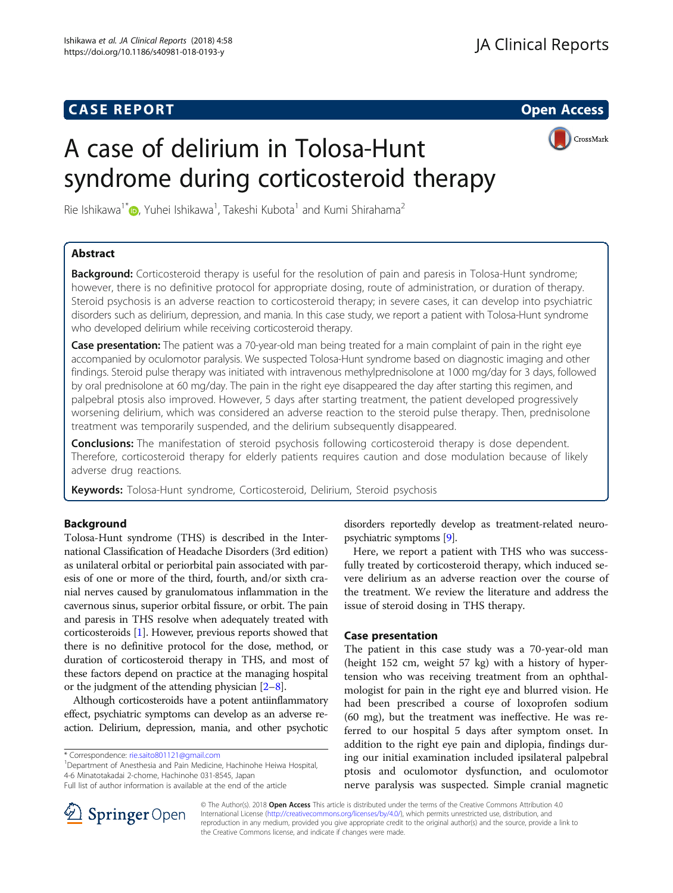# **CASE REPORT And SERVICE SERVICE SERVICE SERVICE SERVICE SERVICE SERVICE SERVICE SERVICE SERVICE SERVICE SERVICE**

CrossMark

# A case of delirium in Tolosa-Hunt syndrome during corticosteroid therapy

Rie Ishikawa<sup>1\*</sup>®[,](http://orcid.org/0000-0003-0561-6528) Yuhei Ishikawa<sup>1</sup>, Takeshi Kubota<sup>1</sup> and Kumi Shirahama<sup>2</sup>

# Abstract

Background: Corticosteroid therapy is useful for the resolution of pain and paresis in Tolosa-Hunt syndrome; however, there is no definitive protocol for appropriate dosing, route of administration, or duration of therapy. Steroid psychosis is an adverse reaction to corticosteroid therapy; in severe cases, it can develop into psychiatric disorders such as delirium, depression, and mania. In this case study, we report a patient with Tolosa-Hunt syndrome who developed delirium while receiving corticosteroid therapy.

Case presentation: The patient was a 70-year-old man being treated for a main complaint of pain in the right eye accompanied by oculomotor paralysis. We suspected Tolosa-Hunt syndrome based on diagnostic imaging and other findings. Steroid pulse therapy was initiated with intravenous methylprednisolone at 1000 mg/day for 3 days, followed by oral prednisolone at 60 mg/day. The pain in the right eye disappeared the day after starting this regimen, and palpebral ptosis also improved. However, 5 days after starting treatment, the patient developed progressively worsening delirium, which was considered an adverse reaction to the steroid pulse therapy. Then, prednisolone treatment was temporarily suspended, and the delirium subsequently disappeared.

**Conclusions:** The manifestation of steroid psychosis following corticosteroid therapy is dose dependent. Therefore, corticosteroid therapy for elderly patients requires caution and dose modulation because of likely adverse drug reactions.

Keywords: Tolosa-Hunt syndrome, Corticosteroid, Delirium, Steroid psychosis

# Background

Tolosa-Hunt syndrome (THS) is described in the International Classification of Headache Disorders (3rd edition) as unilateral orbital or periorbital pain associated with paresis of one or more of the third, fourth, and/or sixth cranial nerves caused by granulomatous inflammation in the cavernous sinus, superior orbital fissure, or orbit. The pain and paresis in THS resolve when adequately treated with corticosteroids [\[1](#page-3-0)]. However, previous reports showed that there is no definitive protocol for the dose, method, or duration of corticosteroid therapy in THS, and most of these factors depend on practice at the managing hospital or the judgment of the attending physician  $[2-8]$  $[2-8]$  $[2-8]$  $[2-8]$  $[2-8]$ .

Although corticosteroids have a potent antiinflammatory effect, psychiatric symptoms can develop as an adverse reaction. Delirium, depression, mania, and other psychotic

<sup>1</sup>Department of Anesthesia and Pain Medicine, Hachinohe Heiwa Hospital, 4-6 Minatotakadai 2-chome, Hachinohe 031-8545, Japan



Here, we report a patient with THS who was successfully treated by corticosteroid therapy, which induced severe delirium as an adverse reaction over the course of the treatment. We review the literature and address the issue of steroid dosing in THS therapy.

# Case presentation

The patient in this case study was a 70-year-old man (height 152 cm, weight 57 kg) with a history of hypertension who was receiving treatment from an ophthalmologist for pain in the right eye and blurred vision. He had been prescribed a course of loxoprofen sodium (60 mg), but the treatment was ineffective. He was referred to our hospital 5 days after symptom onset. In addition to the right eye pain and diplopia, findings during our initial examination included ipsilateral palpebral ptosis and oculomotor dysfunction, and oculomotor nerve paralysis was suspected. Simple cranial magnetic



© The Author(s). 2018 Open Access This article is distributed under the terms of the Creative Commons Attribution 4.0 International License ([http://creativecommons.org/licenses/by/4.0/\)](http://creativecommons.org/licenses/by/4.0/), which permits unrestricted use, distribution, and reproduction in any medium, provided you give appropriate credit to the original author(s) and the source, provide a link to the Creative Commons license, and indicate if changes were made.

<sup>\*</sup> Correspondence: [rie.saito801121@gmail.com](mailto:rie.saito801121@gmail.com) <sup>1</sup>

Full list of author information is available at the end of the article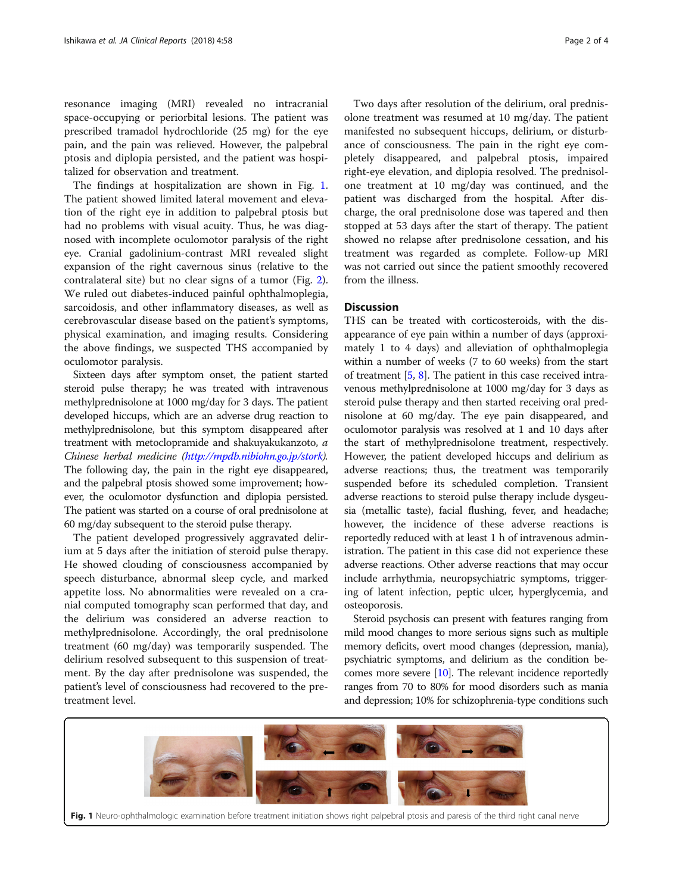resonance imaging (MRI) revealed no intracranial space-occupying or periorbital lesions. The patient was prescribed tramadol hydrochloride (25 mg) for the eye pain, and the pain was relieved. However, the palpebral ptosis and diplopia persisted, and the patient was hospitalized for observation and treatment.

The findings at hospitalization are shown in Fig. 1. The patient showed limited lateral movement and elevation of the right eye in addition to palpebral ptosis but had no problems with visual acuity. Thus, he was diagnosed with incomplete oculomotor paralysis of the right eye. Cranial gadolinium-contrast MRI revealed slight expansion of the right cavernous sinus (relative to the contralateral site) but no clear signs of a tumor (Fig. [2](#page-2-0)). We ruled out diabetes-induced painful ophthalmoplegia, sarcoidosis, and other inflammatory diseases, as well as cerebrovascular disease based on the patient's symptoms, physical examination, and imaging results. Considering the above findings, we suspected THS accompanied by oculomotor paralysis.

Sixteen days after symptom onset, the patient started steroid pulse therapy; he was treated with intravenous methylprednisolone at 1000 mg/day for 3 days. The patient developed hiccups, which are an adverse drug reaction to methylprednisolone, but this symptom disappeared after treatment with metoclopramide and shakuyakukanzoto, a Chinese herbal medicine (<http://mpdb.nibiohn.go.jp/stork>). The following day, the pain in the right eye disappeared, and the palpebral ptosis showed some improvement; however, the oculomotor dysfunction and diplopia persisted. The patient was started on a course of oral prednisolone at 60 mg/day subsequent to the steroid pulse therapy.

The patient developed progressively aggravated delirium at 5 days after the initiation of steroid pulse therapy. He showed clouding of consciousness accompanied by speech disturbance, abnormal sleep cycle, and marked appetite loss. No abnormalities were revealed on a cranial computed tomography scan performed that day, and the delirium was considered an adverse reaction to methylprednisolone. Accordingly, the oral prednisolone treatment (60 mg/day) was temporarily suspended. The delirium resolved subsequent to this suspension of treatment. By the day after prednisolone was suspended, the patient's level of consciousness had recovered to the pretreatment level.

Two days after resolution of the delirium, oral prednisolone treatment was resumed at 10 mg/day. The patient manifested no subsequent hiccups, delirium, or disturbance of consciousness. The pain in the right eye completely disappeared, and palpebral ptosis, impaired right-eye elevation, and diplopia resolved. The prednisolone treatment at 10 mg/day was continued, and the patient was discharged from the hospital. After discharge, the oral prednisolone dose was tapered and then stopped at 53 days after the start of therapy. The patient showed no relapse after prednisolone cessation, and his treatment was regarded as complete. Follow-up MRI was not carried out since the patient smoothly recovered from the illness.

# **Discussion**

THS can be treated with corticosteroids, with the disappearance of eye pain within a number of days (approximately 1 to 4 days) and alleviation of ophthalmoplegia within a number of weeks (7 to 60 weeks) from the start of treatment [[5](#page-3-0), [8](#page-3-0)]. The patient in this case received intravenous methylprednisolone at 1000 mg/day for 3 days as steroid pulse therapy and then started receiving oral prednisolone at 60 mg/day. The eye pain disappeared, and oculomotor paralysis was resolved at 1 and 10 days after the start of methylprednisolone treatment, respectively. However, the patient developed hiccups and delirium as adverse reactions; thus, the treatment was temporarily suspended before its scheduled completion. Transient adverse reactions to steroid pulse therapy include dysgeusia (metallic taste), facial flushing, fever, and headache; however, the incidence of these adverse reactions is reportedly reduced with at least 1 h of intravenous administration. The patient in this case did not experience these adverse reactions. Other adverse reactions that may occur include arrhythmia, neuropsychiatric symptoms, triggering of latent infection, peptic ulcer, hyperglycemia, and osteoporosis.

Steroid psychosis can present with features ranging from mild mood changes to more serious signs such as multiple memory deficits, overt mood changes (depression, mania), psychiatric symptoms, and delirium as the condition becomes more severe [\[10\]](#page-3-0). The relevant incidence reportedly ranges from 70 to 80% for mood disorders such as mania and depression; 10% for schizophrenia-type conditions such

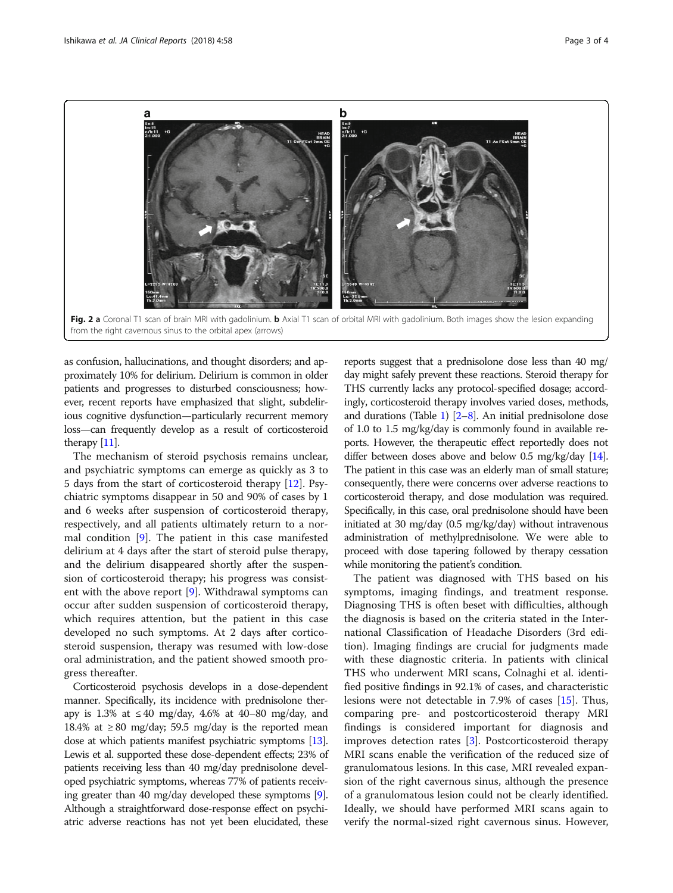<span id="page-2-0"></span>

as confusion, hallucinations, and thought disorders; and approximately 10% for delirium. Delirium is common in older patients and progresses to disturbed consciousness; however, recent reports have emphasized that slight, subdelirious cognitive dysfunction—particularly recurrent memory loss—can frequently develop as a result of corticosteroid therapy [[11](#page-3-0)].

The mechanism of steroid psychosis remains unclear, and psychiatric symptoms can emerge as quickly as 3 to 5 days from the start of corticosteroid therapy [[12\]](#page-3-0). Psychiatric symptoms disappear in 50 and 90% of cases by 1 and 6 weeks after suspension of corticosteroid therapy, respectively, and all patients ultimately return to a normal condition [\[9](#page-3-0)]. The patient in this case manifested delirium at 4 days after the start of steroid pulse therapy, and the delirium disappeared shortly after the suspension of corticosteroid therapy; his progress was consistent with the above report [\[9](#page-3-0)]. Withdrawal symptoms can occur after sudden suspension of corticosteroid therapy, which requires attention, but the patient in this case developed no such symptoms. At 2 days after corticosteroid suspension, therapy was resumed with low-dose oral administration, and the patient showed smooth progress thereafter.

Corticosteroid psychosis develops in a dose-dependent manner. Specifically, its incidence with prednisolone therapy is 1.3% at  $\leq 40$  mg/day, 4.6% at 40–80 mg/day, and 18.4% at  $\geq$  80 mg/day; 59.5 mg/day is the reported mean dose at which patients manifest psychiatric symptoms [\[13](#page-3-0)]. Lewis et al. supported these dose-dependent effects; 23% of patients receiving less than 40 mg/day prednisolone developed psychiatric symptoms, whereas 77% of patients receiving greater than 40 mg/day developed these symptoms [[9](#page-3-0)]. Although a straightforward dose-response effect on psychiatric adverse reactions has not yet been elucidated, these

reports suggest that a prednisolone dose less than 40 mg/ day might safely prevent these reactions. Steroid therapy for THS currently lacks any protocol-specified dosage; accordingly, corticosteroid therapy involves varied doses, methods, and durations (Table [1](#page-3-0)) [[2](#page-3-0)–[8\]](#page-3-0). An initial prednisolone dose of 1.0 to 1.5 mg/kg/day is commonly found in available reports. However, the therapeutic effect reportedly does not differ between doses above and below 0.5 mg/kg/day [\[14](#page-3-0)]. The patient in this case was an elderly man of small stature; consequently, there were concerns over adverse reactions to corticosteroid therapy, and dose modulation was required. Specifically, in this case, oral prednisolone should have been initiated at 30 mg/day (0.5 mg/kg/day) without intravenous administration of methylprednisolone. We were able to proceed with dose tapering followed by therapy cessation while monitoring the patient's condition.

The patient was diagnosed with THS based on his symptoms, imaging findings, and treatment response. Diagnosing THS is often beset with difficulties, although the diagnosis is based on the criteria stated in the International Classification of Headache Disorders (3rd edition). Imaging findings are crucial for judgments made with these diagnostic criteria. In patients with clinical THS who underwent MRI scans, Colnaghi et al. identified positive findings in 92.1% of cases, and characteristic lesions were not detectable in 7.9% of cases [\[15](#page-3-0)]. Thus, comparing pre- and postcorticosteroid therapy MRI findings is considered important for diagnosis and improves detection rates [\[3](#page-3-0)]. Postcorticosteroid therapy MRI scans enable the verification of the reduced size of granulomatous lesions. In this case, MRI revealed expansion of the right cavernous sinus, although the presence of a granulomatous lesion could not be clearly identified. Ideally, we should have performed MRI scans again to verify the normal-sized right cavernous sinus. However,